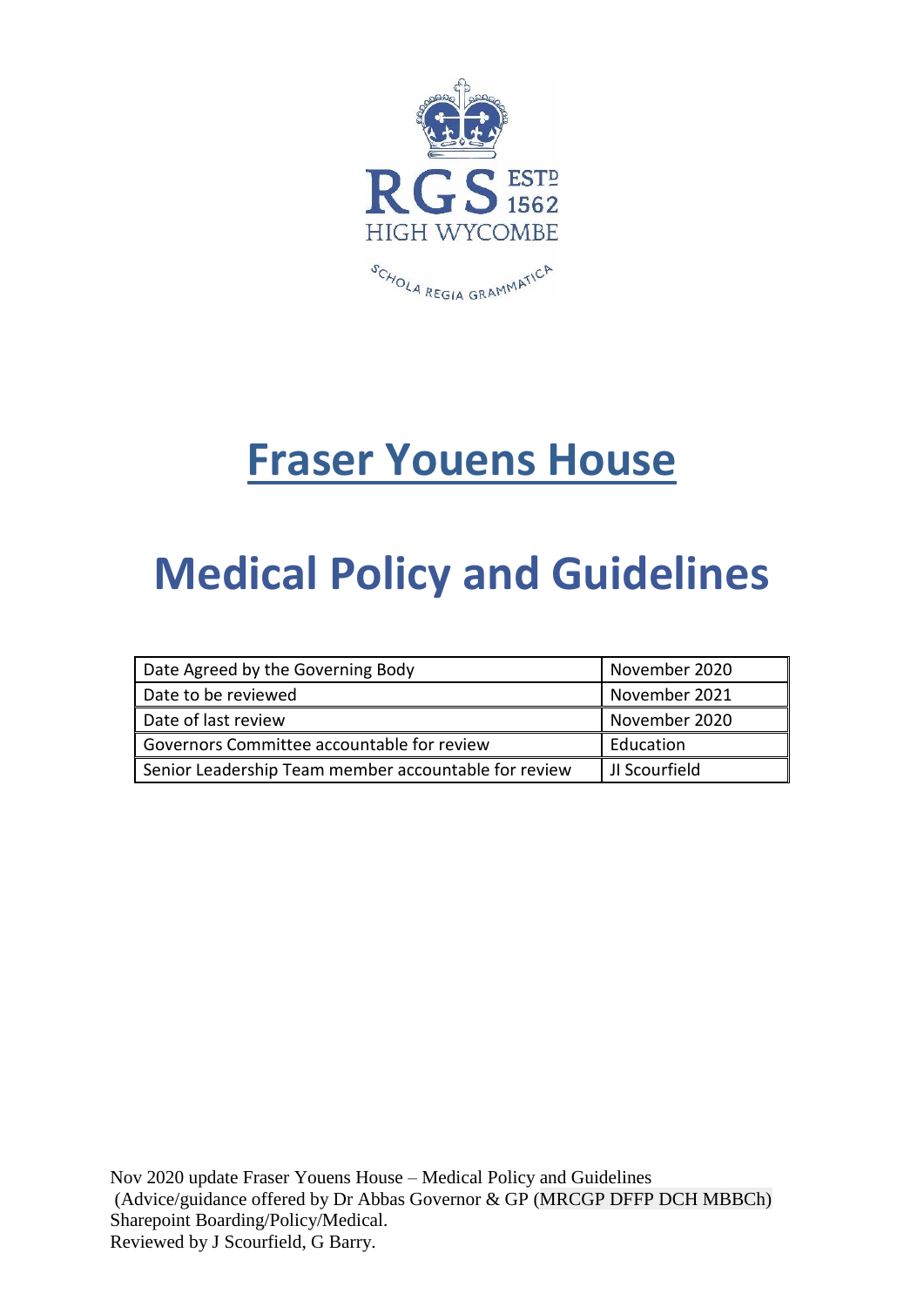

# **Fraser Youens House**

# **Medical Policy and Guidelines**

| Date Agreed by the Governing Body                    | November 2020 |
|------------------------------------------------------|---------------|
| Date to be reviewed                                  | November 2021 |
| Date of last review                                  | November 2020 |
| Governors Committee accountable for review           | Education     |
| Senior Leadership Team member accountable for review | JI Scourfield |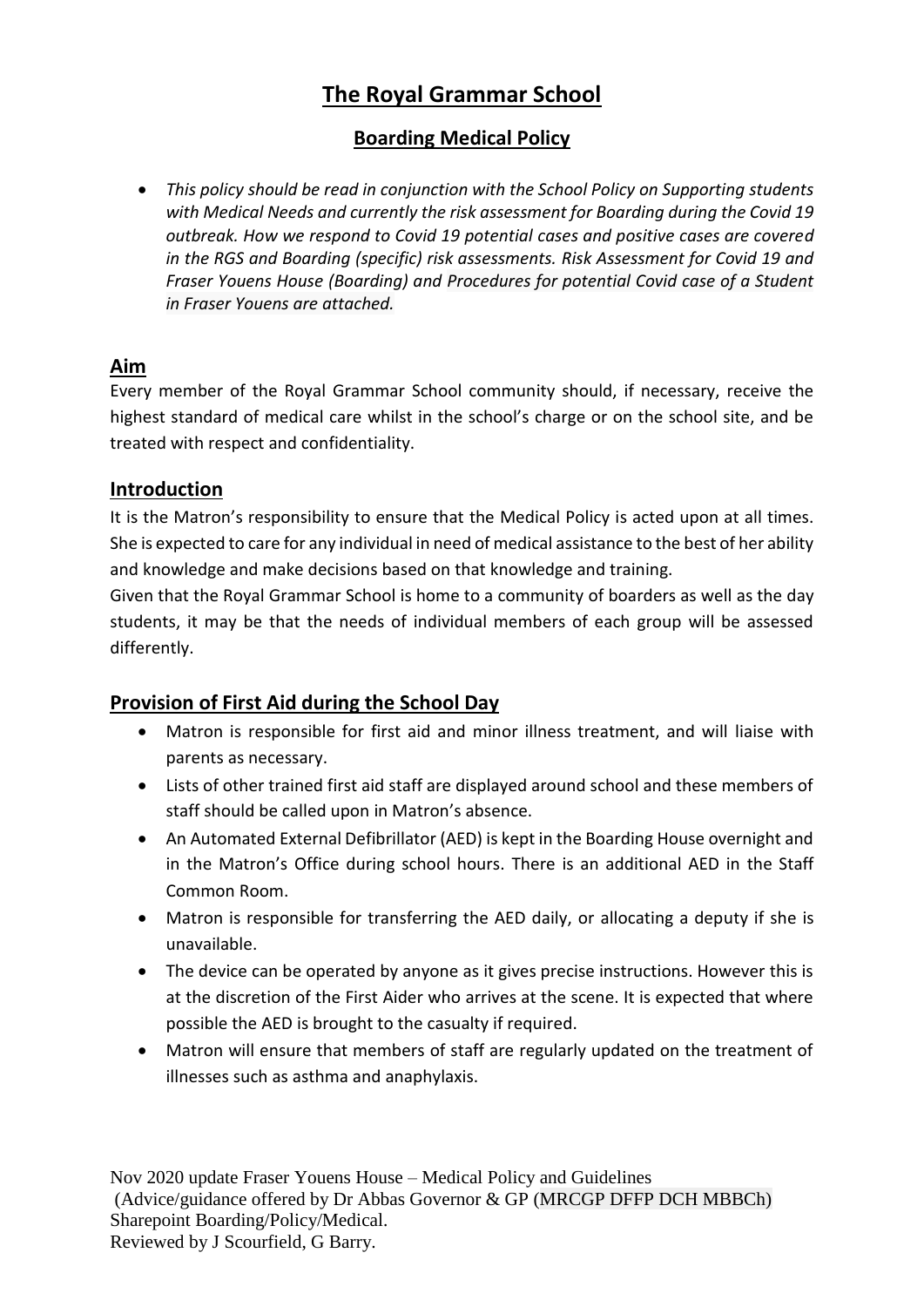## **The Royal Grammar School**

### **Boarding Medical Policy**

• *This policy should be read in conjunction with the School Policy on Supporting students with Medical Needs and currently the risk assessment for Boarding during the Covid 19 outbreak. How we respond to Covid 19 potential cases and positive cases are covered in the RGS and Boarding (specific) risk assessments. Risk Assessment for Covid 19 and Fraser Youens House (Boarding) and Procedures for potential Covid case of a Student in Fraser Youens are attached.*

## **Aim**

Every member of the Royal Grammar School community should, if necessary, receive the highest standard of medical care whilst in the school's charge or on the school site, and be treated with respect and confidentiality.

#### **Introduction**

It is the Matron's responsibility to ensure that the Medical Policy is acted upon at all times. She is expected to care for any individual in need of medical assistance to the best of her ability and knowledge and make decisions based on that knowledge and training.

Given that the Royal Grammar School is home to a community of boarders as well as the day students, it may be that the needs of individual members of each group will be assessed differently.

#### **Provision of First Aid during the School Day**

- Matron is responsible for first aid and minor illness treatment, and will liaise with parents as necessary.
- Lists of other trained first aid staff are displayed around school and these members of staff should be called upon in Matron's absence.
- An Automated External Defibrillator (AED) is kept in the Boarding House overnight and in the Matron's Office during school hours. There is an additional AED in the Staff Common Room.
- Matron is responsible for transferring the AED daily, or allocating a deputy if she is unavailable.
- The device can be operated by anyone as it gives precise instructions. However this is at the discretion of the First Aider who arrives at the scene. It is expected that where possible the AED is brought to the casualty if required.
- Matron will ensure that members of staff are regularly updated on the treatment of illnesses such as asthma and anaphylaxis.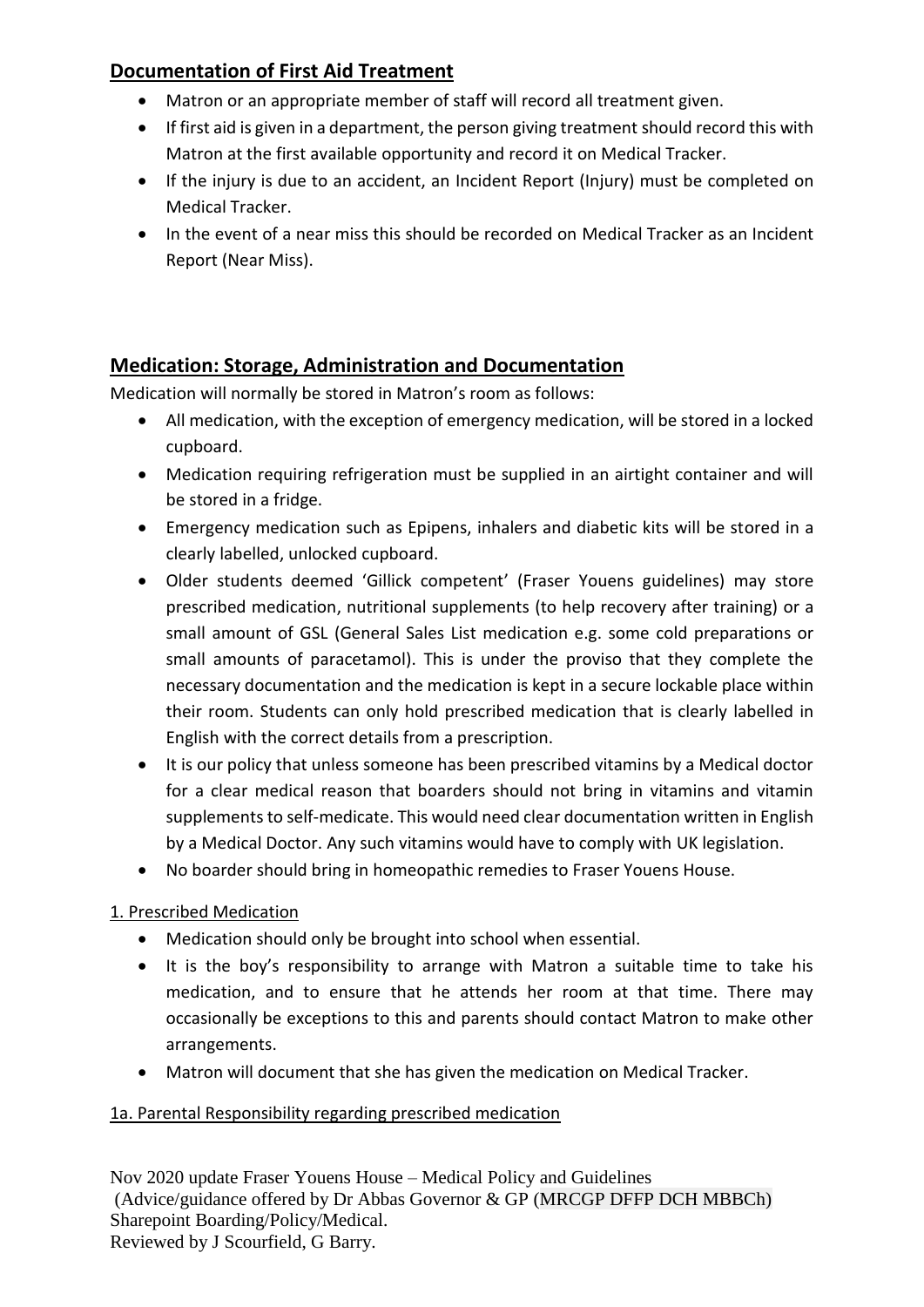## **Documentation of First Aid Treatment**

- Matron or an appropriate member of staff will record all treatment given.
- If first aid is given in a department, the person giving treatment should record this with Matron at the first available opportunity and record it on Medical Tracker.
- If the injury is due to an accident, an Incident Report (Injury) must be completed on Medical Tracker.
- In the event of a near miss this should be recorded on Medical Tracker as an Incident Report (Near Miss).

## **Medication: Storage, Administration and Documentation**

Medication will normally be stored in Matron's room as follows:

- All medication, with the exception of emergency medication, will be stored in a locked cupboard.
- Medication requiring refrigeration must be supplied in an airtight container and will be stored in a fridge.
- Emergency medication such as Epipens, inhalers and diabetic kits will be stored in a clearly labelled, unlocked cupboard.
- Older students deemed 'Gillick competent' (Fraser Youens guidelines) may store prescribed medication, nutritional supplements (to help recovery after training) or a small amount of GSL (General Sales List medication e.g. some cold preparations or small amounts of paracetamol). This is under the proviso that they complete the necessary documentation and the medication is kept in a secure lockable place within their room. Students can only hold prescribed medication that is clearly labelled in English with the correct details from a prescription.
- It is our policy that unless someone has been prescribed vitamins by a Medical doctor for a clear medical reason that boarders should not bring in vitamins and vitamin supplements to self-medicate. This would need clear documentation written in English by a Medical Doctor. Any such vitamins would have to comply with UK legislation.
- No boarder should bring in homeopathic remedies to Fraser Youens House.

1. Prescribed Medication

- Medication should only be brought into school when essential.
- It is the boy's responsibility to arrange with Matron a suitable time to take his medication, and to ensure that he attends her room at that time. There may occasionally be exceptions to this and parents should contact Matron to make other arrangements.
- Matron will document that she has given the medication on Medical Tracker.

#### 1a. Parental Responsibility regarding prescribed medication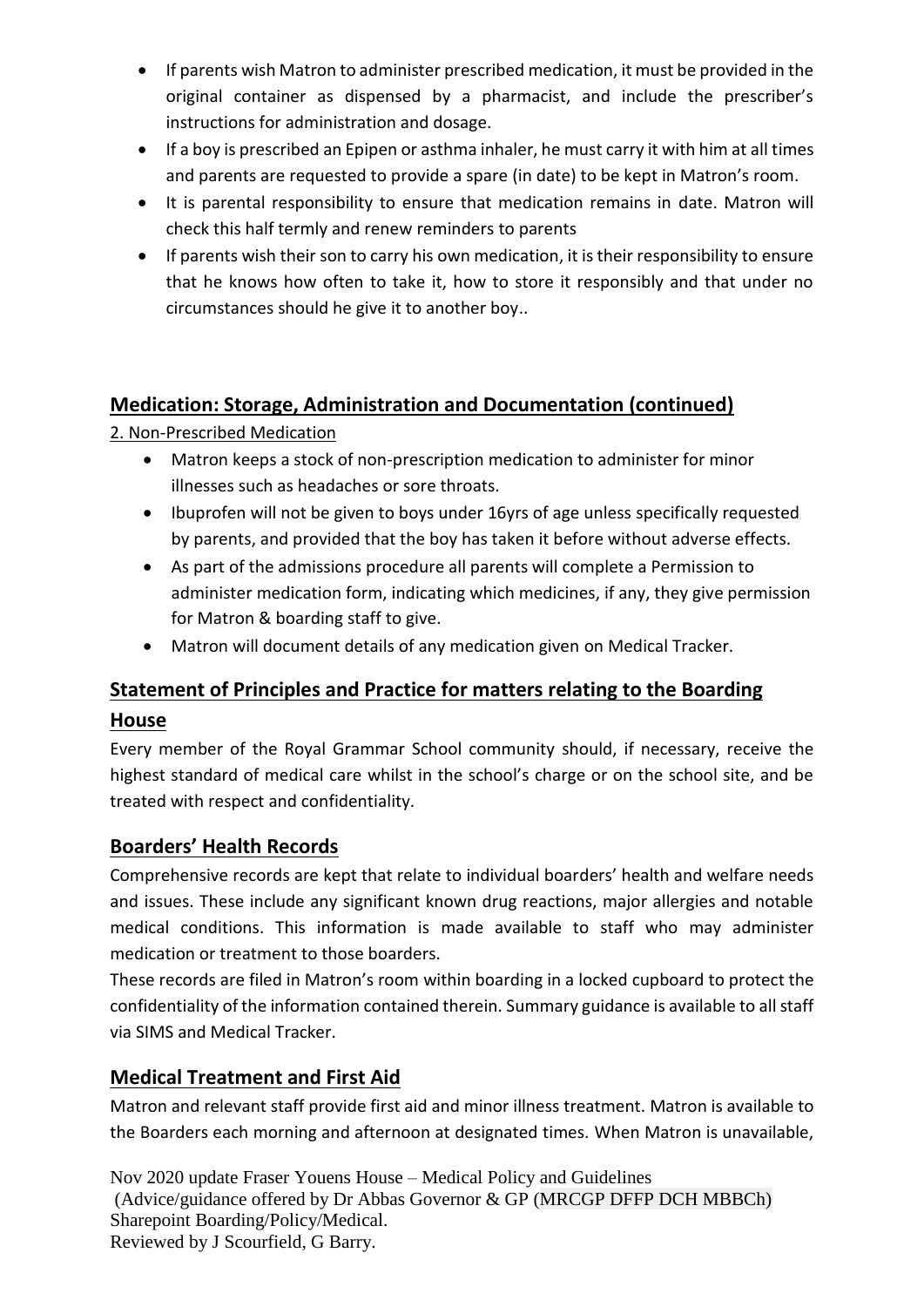- If parents wish Matron to administer prescribed medication, it must be provided in the original container as dispensed by a pharmacist, and include the prescriber's instructions for administration and dosage.
- If a boy is prescribed an Epipen or asthma inhaler, he must carry it with him at all times and parents are requested to provide a spare (in date) to be kept in Matron's room.
- It is parental responsibility to ensure that medication remains in date. Matron will check this half termly and renew reminders to parents
- If parents wish their son to carry his own medication, it is their responsibility to ensure that he knows how often to take it, how to store it responsibly and that under no circumstances should he give it to another boy..

## **Medication: Storage, Administration and Documentation (continued)**

2. Non-Prescribed Medication

- Matron keeps a stock of non-prescription medication to administer for minor illnesses such as headaches or sore throats.
- Ibuprofen will not be given to boys under 16yrs of age unless specifically requested by parents, and provided that the boy has taken it before without adverse effects.
- As part of the admissions procedure all parents will complete a Permission to administer medication form, indicating which medicines, if any, they give permission for Matron & boarding staff to give.
- Matron will document details of any medication given on Medical Tracker.

# **Statement of Principles and Practice for matters relating to the Boarding House**

Every member of the Royal Grammar School community should, if necessary, receive the highest standard of medical care whilst in the school's charge or on the school site, and be treated with respect and confidentiality.

## **Boarders' Health Records**

Comprehensive records are kept that relate to individual boarders' health and welfare needs and issues. These include any significant known drug reactions, major allergies and notable medical conditions. This information is made available to staff who may administer medication or treatment to those boarders.

These records are filed in Matron's room within boarding in a locked cupboard to protect the confidentiality of the information contained therein. Summary guidance is available to all staff via SIMS and Medical Tracker.

## **Medical Treatment and First Aid**

Matron and relevant staff provide first aid and minor illness treatment. Matron is available to the Boarders each morning and afternoon at designated times. When Matron is unavailable,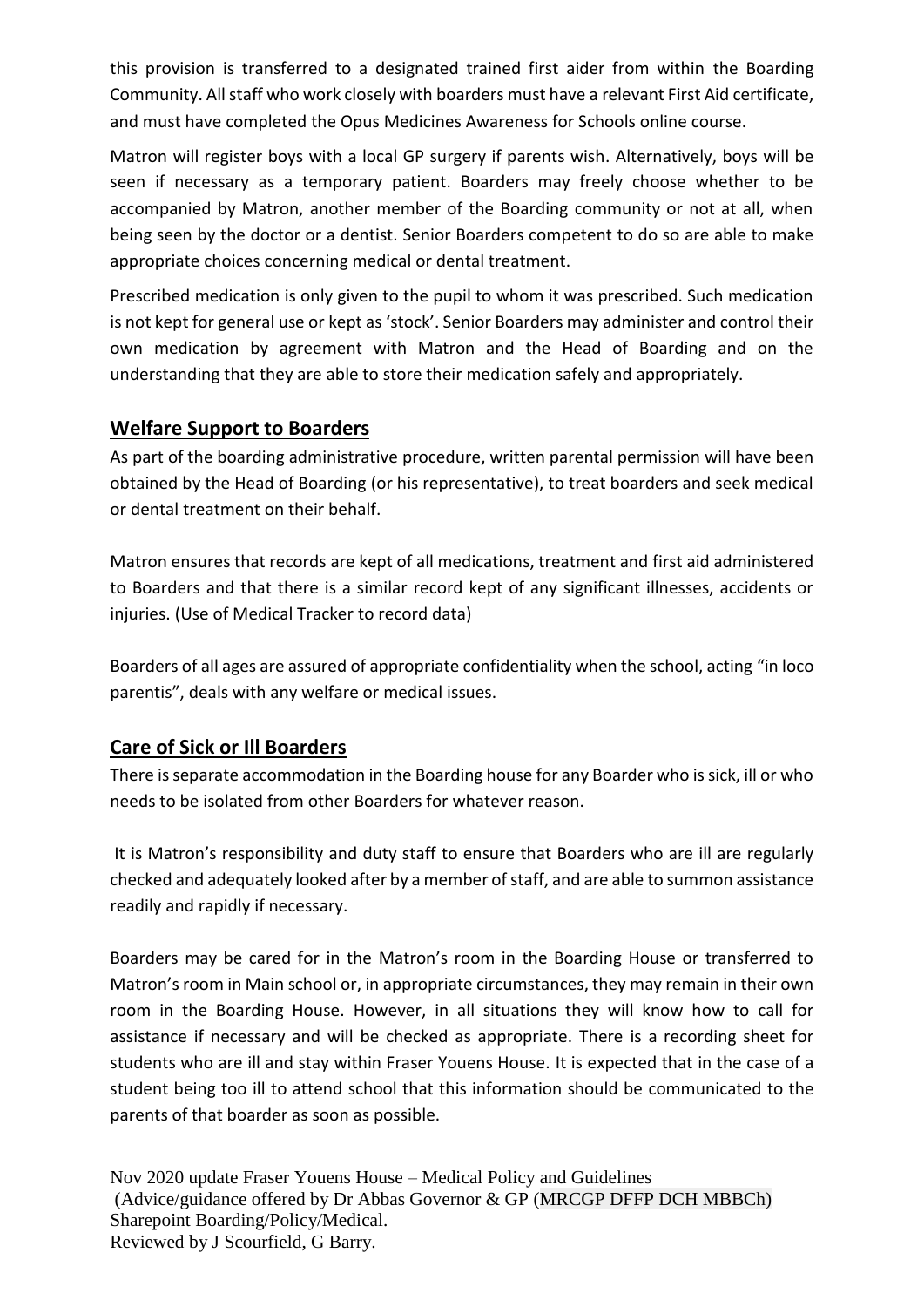this provision is transferred to a designated trained first aider from within the Boarding Community. All staff who work closely with boarders must have a relevant First Aid certificate, and must have completed the Opus Medicines Awareness for Schools online course.

Matron will register boys with a local GP surgery if parents wish. Alternatively, boys will be seen if necessary as a temporary patient. Boarders may freely choose whether to be accompanied by Matron, another member of the Boarding community or not at all, when being seen by the doctor or a dentist. Senior Boarders competent to do so are able to make appropriate choices concerning medical or dental treatment.

Prescribed medication is only given to the pupil to whom it was prescribed. Such medication is not kept for general use or kept as 'stock'. Senior Boarders may administer and control their own medication by agreement with Matron and the Head of Boarding and on the understanding that they are able to store their medication safely and appropriately.

#### **Welfare Support to Boarders**

As part of the boarding administrative procedure, written parental permission will have been obtained by the Head of Boarding (or his representative), to treat boarders and seek medical or dental treatment on their behalf.

Matron ensures that records are kept of all medications, treatment and first aid administered to Boarders and that there is a similar record kept of any significant illnesses, accidents or injuries. (Use of Medical Tracker to record data)

Boarders of all ages are assured of appropriate confidentiality when the school, acting "in loco parentis", deals with any welfare or medical issues.

#### **Care of Sick or Ill Boarders**

There is separate accommodation in the Boarding house for any Boarder who is sick, ill or who needs to be isolated from other Boarders for whatever reason.

It is Matron's responsibility and duty staff to ensure that Boarders who are ill are regularly checked and adequately looked after by a member of staff, and are able to summon assistance readily and rapidly if necessary.

Boarders may be cared for in the Matron's room in the Boarding House or transferred to Matron's room in Main school or, in appropriate circumstances, they may remain in their own room in the Boarding House. However, in all situations they will know how to call for assistance if necessary and will be checked as appropriate. There is a recording sheet for students who are ill and stay within Fraser Youens House. It is expected that in the case of a student being too ill to attend school that this information should be communicated to the parents of that boarder as soon as possible.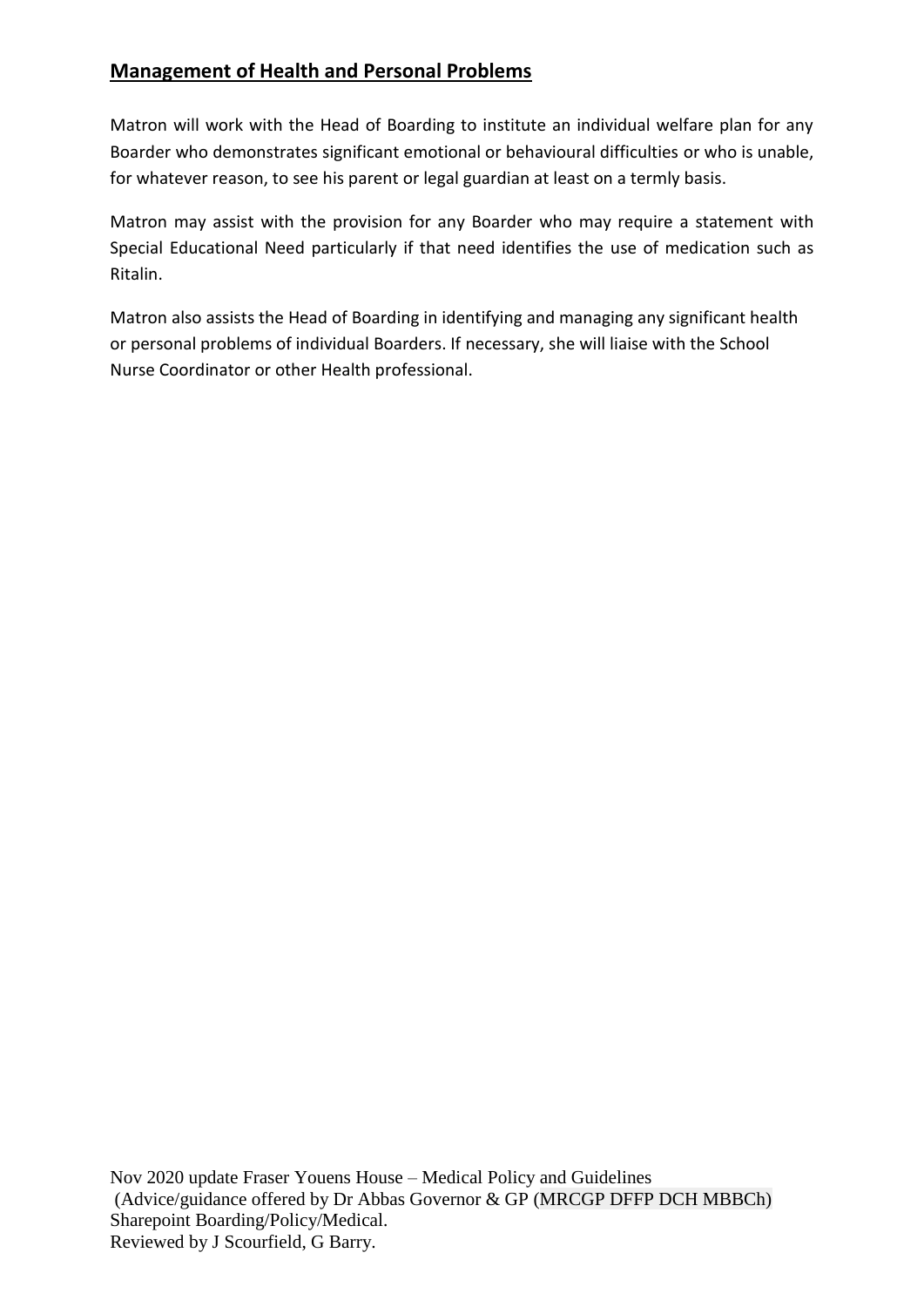#### **Management of Health and Personal Problems**

Matron will work with the Head of Boarding to institute an individual welfare plan for any Boarder who demonstrates significant emotional or behavioural difficulties or who is unable, for whatever reason, to see his parent or legal guardian at least on a termly basis.

Matron may assist with the provision for any Boarder who may require a statement with Special Educational Need particularly if that need identifies the use of medication such as Ritalin.

Matron also assists the Head of Boarding in identifying and managing any significant health or personal problems of individual Boarders. If necessary, she will liaise with the School Nurse Coordinator or other Health professional.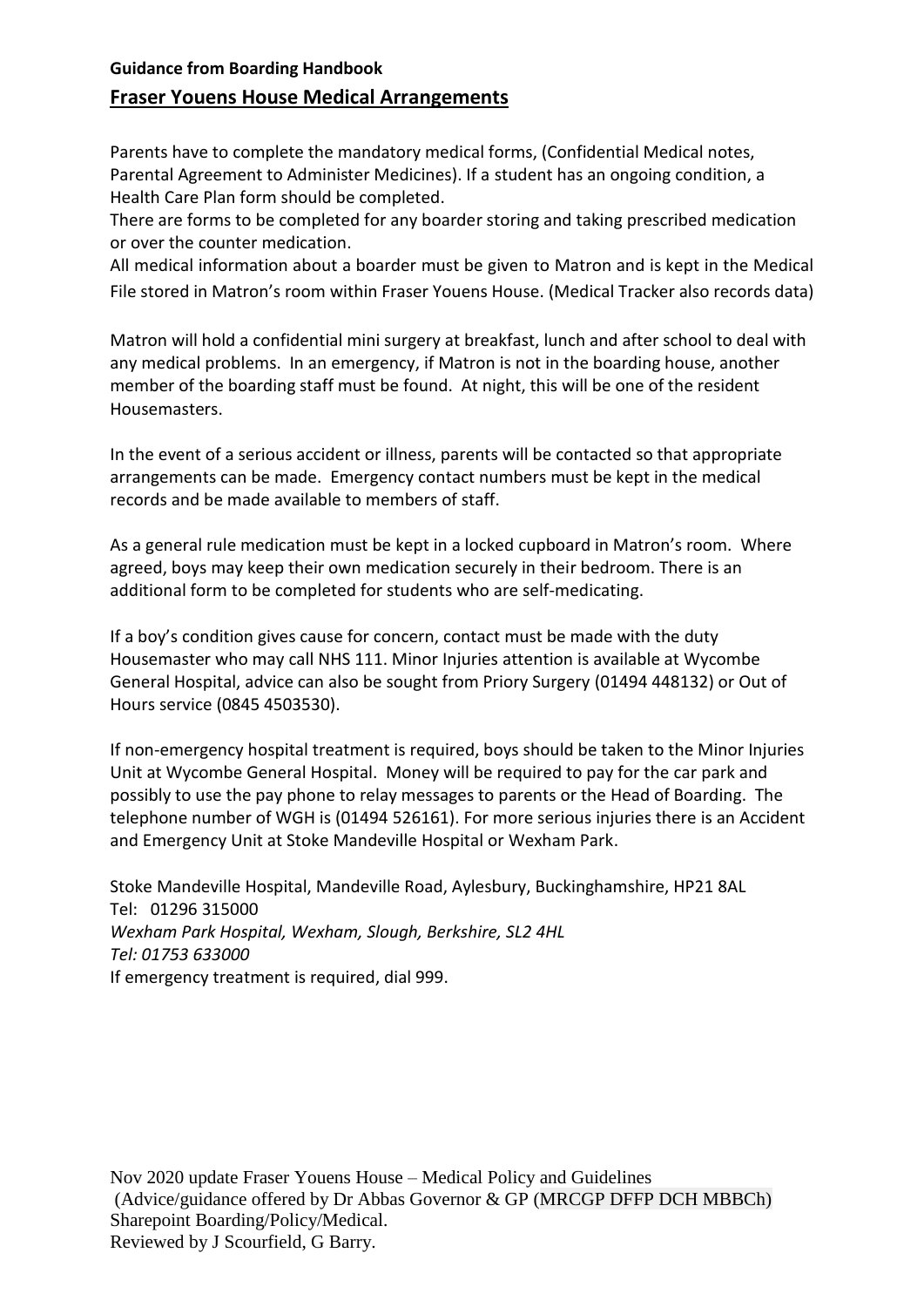## **Guidance from Boarding Handbook Fraser Youens House Medical Arrangements**

Parents have to complete the mandatory medical forms, (Confidential Medical notes, Parental Agreement to Administer Medicines). If a student has an ongoing condition, a Health Care Plan form should be completed.

There are forms to be completed for any boarder storing and taking prescribed medication or over the counter medication.

All medical information about a boarder must be given to Matron and is kept in the Medical File stored in Matron's room within Fraser Youens House. (Medical Tracker also records data)

Matron will hold a confidential mini surgery at breakfast, lunch and after school to deal with any medical problems. In an emergency, if Matron is not in the boarding house, another member of the boarding staff must be found. At night, this will be one of the resident Housemasters.

In the event of a serious accident or illness, parents will be contacted so that appropriate arrangements can be made. Emergency contact numbers must be kept in the medical records and be made available to members of staff.

As a general rule medication must be kept in a locked cupboard in Matron's room. Where agreed, boys may keep their own medication securely in their bedroom. There is an additional form to be completed for students who are self-medicating.

If a boy's condition gives cause for concern, contact must be made with the duty Housemaster who may call NHS 111. Minor Injuries attention is available at Wycombe General Hospital, advice can also be sought from Priory Surgery (01494 448132) or Out of Hours service (0845 4503530).

If non-emergency hospital treatment is required, boys should be taken to the Minor Injuries Unit at Wycombe General Hospital. Money will be required to pay for the car park and possibly to use the pay phone to relay messages to parents or the Head of Boarding. The telephone number of WGH is (01494 526161). For more serious injuries there is an Accident and Emergency Unit at Stoke Mandeville Hospital or Wexham Park.

Stoke Mandeville Hospital, Mandeville Road, Aylesbury, Buckinghamshire, HP21 8AL Tel: 01296 315000 *Wexham Park Hospital, Wexham, Slough, Berkshire, SL2 4HL Tel: 01753 633000* If emergency treatment is required, dial 999.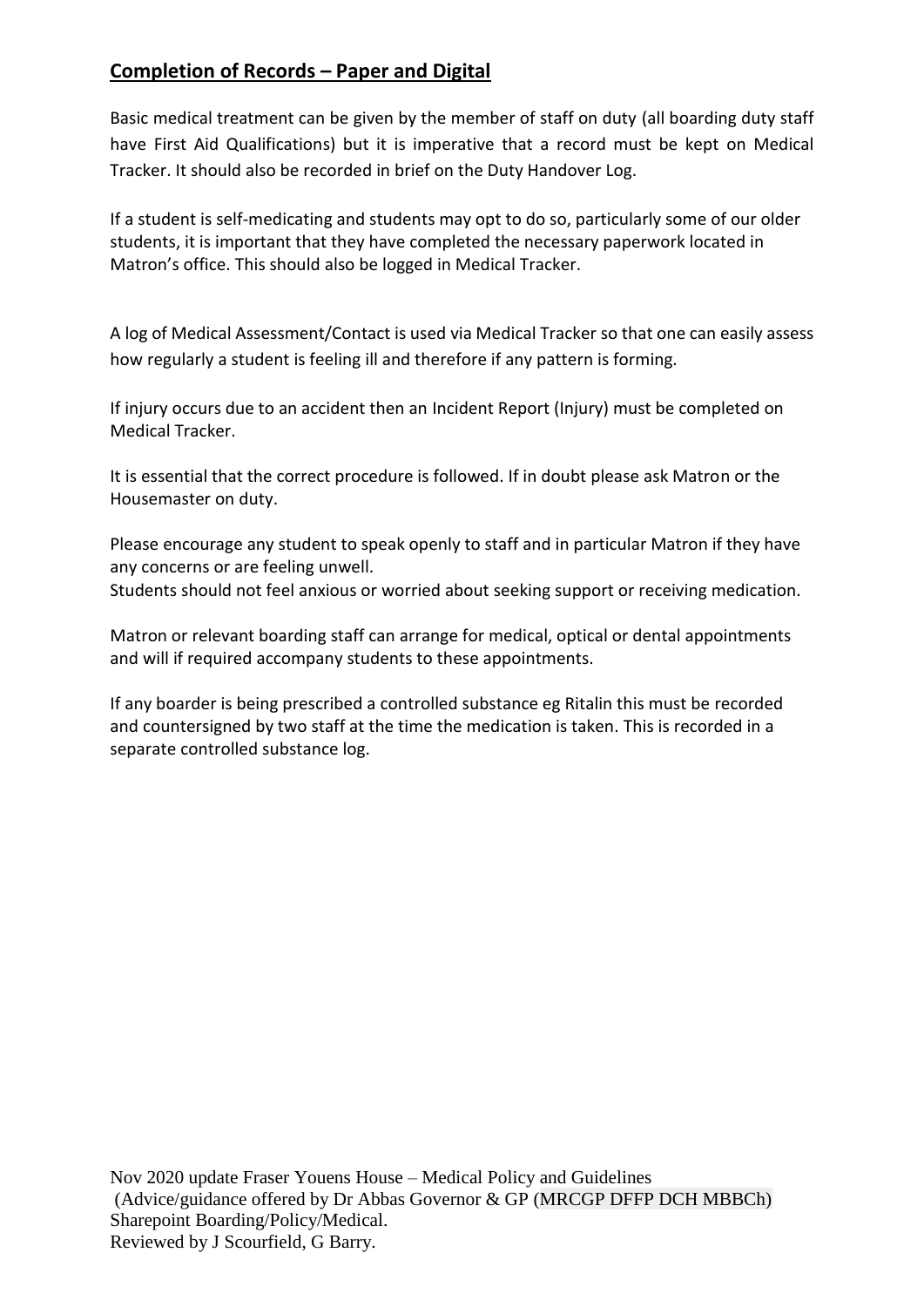## **Completion of Records – Paper and Digital**

Basic medical treatment can be given by the member of staff on duty (all boarding duty staff have First Aid Qualifications) but it is imperative that a record must be kept on Medical Tracker. It should also be recorded in brief on the Duty Handover Log.

If a student is self-medicating and students may opt to do so, particularly some of our older students, it is important that they have completed the necessary paperwork located in Matron's office. This should also be logged in Medical Tracker.

A log of Medical Assessment/Contact is used via Medical Tracker so that one can easily assess how regularly a student is feeling ill and therefore if any pattern is forming.

If injury occurs due to an accident then an Incident Report (Injury) must be completed on Medical Tracker.

It is essential that the correct procedure is followed. If in doubt please ask Matron or the Housemaster on duty.

Please encourage any student to speak openly to staff and in particular Matron if they have any concerns or are feeling unwell.

Students should not feel anxious or worried about seeking support or receiving medication.

Matron or relevant boarding staff can arrange for medical, optical or dental appointments and will if required accompany students to these appointments.

If any boarder is being prescribed a controlled substance eg Ritalin this must be recorded and countersigned by two staff at the time the medication is taken. This is recorded in a separate controlled substance log.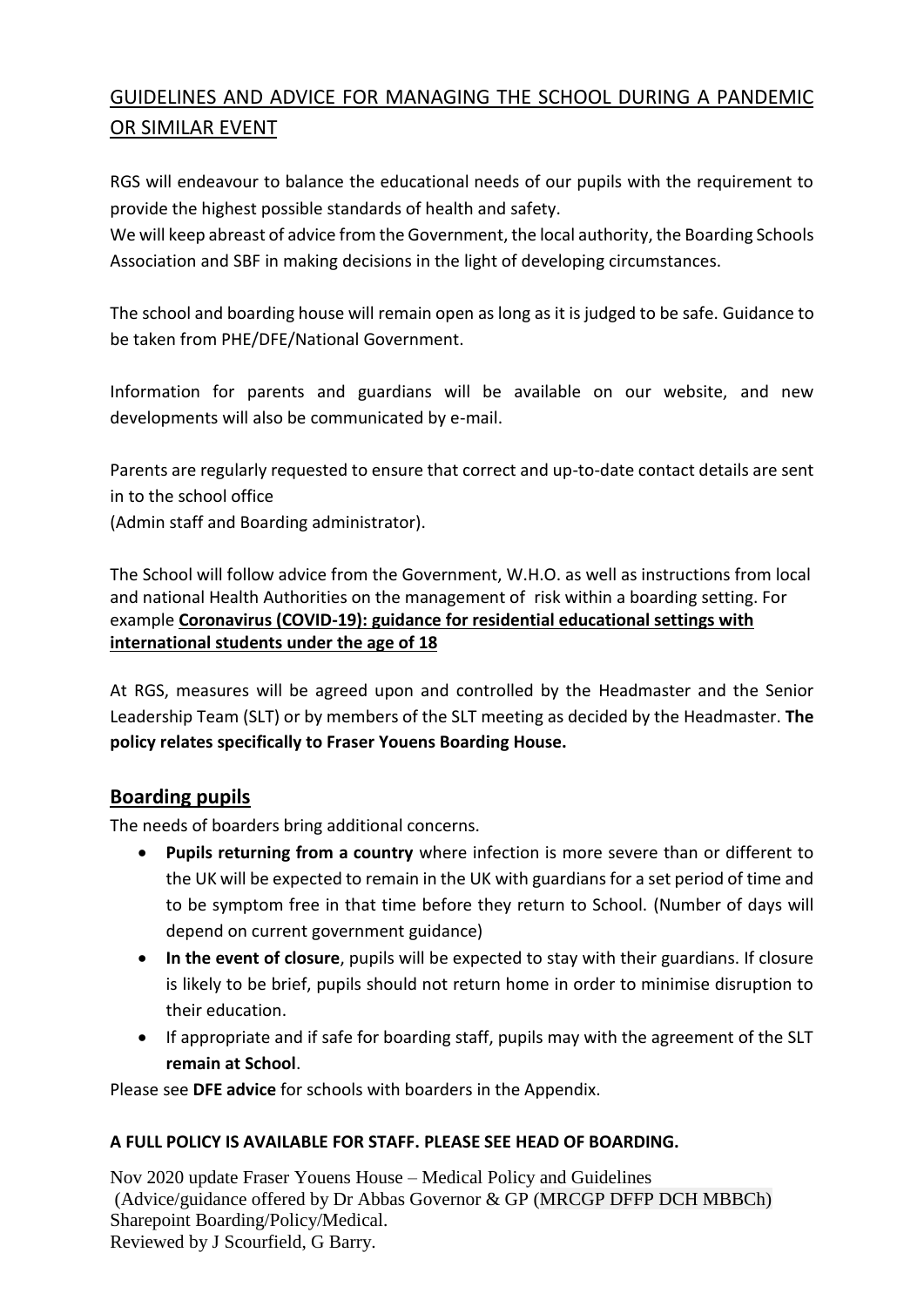## GUIDELINES AND ADVICE FOR MANAGING THE SCHOOL DURING A PANDEMIC OR SIMILAR EVENT

RGS will endeavour to balance the educational needs of our pupils with the requirement to provide the highest possible standards of health and safety.

We will keep abreast of advice from the Government, the local authority, the Boarding Schools Association and SBF in making decisions in the light of developing circumstances.

The school and boarding house will remain open as long as it is judged to be safe. Guidance to be taken from PHE/DFE/National Government.

Information for parents and guardians will be available on our website, and new developments will also be communicated by e-mail.

Parents are regularly requested to ensure that correct and up-to-date contact details are sent in to the school office

(Admin staff and Boarding administrator).

The School will follow advice from the Government, W.H.O. as well as instructions from local and national Health Authorities on the management of risk within a boarding setting. For example **[Coronavirus](https://www.gov.uk/government/publications/coronavirus-covid-19-guidance-for-boarding-schools-with-international-students/coronavirus-covid-19-guidance-for-residential-educational-settings-with-international-students-under-the-age-of-18) (COVID-19): guidance for residential educational settings with [international](https://www.gov.uk/government/publications/coronavirus-covid-19-guidance-for-boarding-schools-with-international-students/coronavirus-covid-19-guidance-for-residential-educational-settings-with-international-students-under-the-age-of-18) students under the age of 18**

At RGS, measures will be agreed upon and controlled by the Headmaster and the Senior Leadership Team (SLT) or by members of the SLT meeting as decided by the Headmaster. **The policy relates specifically to Fraser Youens Boarding House.**

#### **Boarding pupils**

The needs of boarders bring additional concerns.

- **Pupils returning from a country** where infection is more severe than or different to the UK will be expected to remain in the UK with guardians for a set period of time and to be symptom free in that time before they return to School. (Number of days will depend on current government guidance)
- **In the event of closure**, pupils will be expected to stay with their guardians. If closure is likely to be brief, pupils should not return home in order to minimise disruption to their education.
- If appropriate and if safe for boarding staff, pupils may with the agreement of the SLT **remain at School**.

Please see **DFE advice** for schools with boarders in the Appendix.

#### **A FULL POLICY IS AVAILABLE FOR STAFF. PLEASE SEE HEAD OF BOARDING.**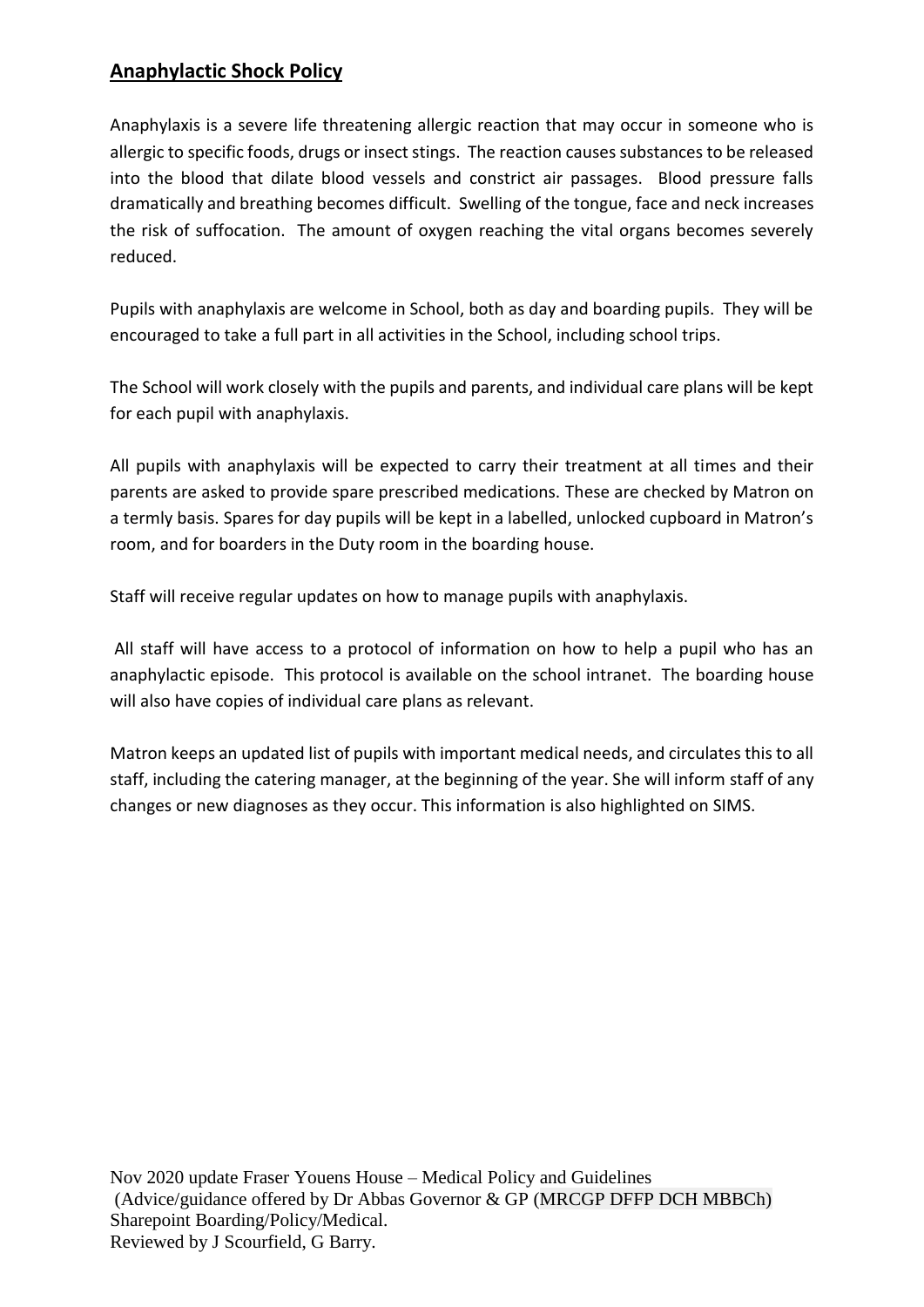## **Anaphylactic Shock Policy**

Anaphylaxis is a severe life threatening allergic reaction that may occur in someone who is allergic to specific foods, drugs or insect stings. The reaction causes substances to be released into the blood that dilate blood vessels and constrict air passages. Blood pressure falls dramatically and breathing becomes difficult. Swelling of the tongue, face and neck increases the risk of suffocation. The amount of oxygen reaching the vital organs becomes severely reduced.

Pupils with anaphylaxis are welcome in School, both as day and boarding pupils. They will be encouraged to take a full part in all activities in the School, including school trips.

The School will work closely with the pupils and parents, and individual care plans will be kept for each pupil with anaphylaxis.

All pupils with anaphylaxis will be expected to carry their treatment at all times and their parents are asked to provide spare prescribed medications. These are checked by Matron on a termly basis. Spares for day pupils will be kept in a labelled, unlocked cupboard in Matron's room, and for boarders in the Duty room in the boarding house.

Staff will receive regular updates on how to manage pupils with anaphylaxis.

All staff will have access to a protocol of information on how to help a pupil who has an anaphylactic episode. This protocol is available on the school intranet. The boarding house will also have copies of individual care plans as relevant.

Matron keeps an updated list of pupils with important medical needs, and circulates this to all staff, including the catering manager, at the beginning of the year. She will inform staff of any changes or new diagnoses as they occur. This information is also highlighted on SIMS.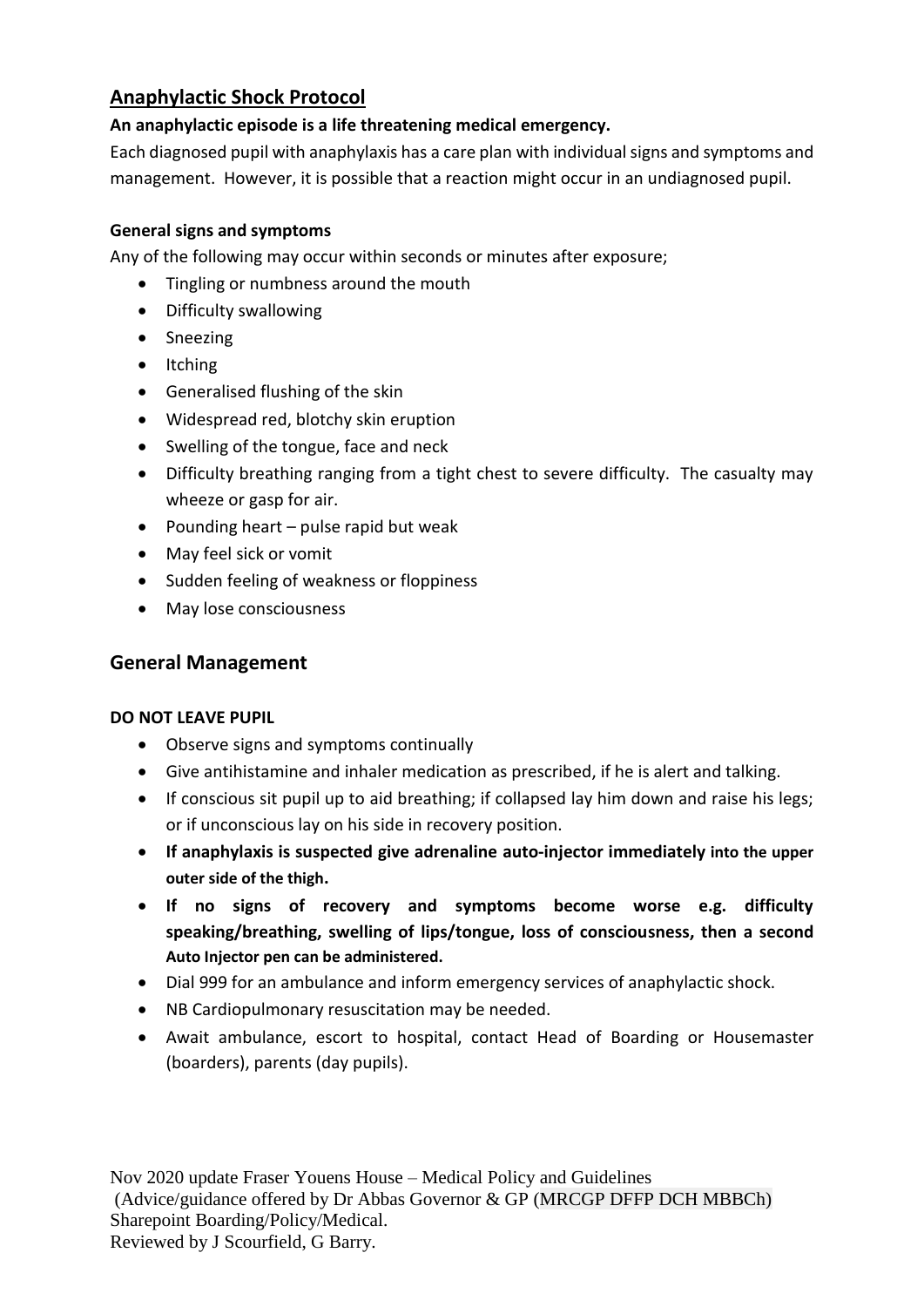## **Anaphylactic Shock Protocol**

#### **An anaphylactic episode is a life threatening medical emergency.**

Each diagnosed pupil with anaphylaxis has a care plan with individual signs and symptoms and management. However, it is possible that a reaction might occur in an undiagnosed pupil.

#### **General signs and symptoms**

Any of the following may occur within seconds or minutes after exposure;

- Tingling or numbness around the mouth
- Difficulty swallowing
- Sneezing
- Itching
- Generalised flushing of the skin
- Widespread red, blotchy skin eruption
- Swelling of the tongue, face and neck
- Difficulty breathing ranging from a tight chest to severe difficulty. The casualty may wheeze or gasp for air.
- Pounding heart pulse rapid but weak
- May feel sick or vomit
- Sudden feeling of weakness or floppiness
- May lose consciousness

#### **General Management**

#### **DO NOT LEAVE PUPIL**

- Observe signs and symptoms continually
- Give antihistamine and inhaler medication as prescribed, if he is alert and talking.
- If conscious sit pupil up to aid breathing; if collapsed lay him down and raise his legs; or if unconscious lay on his side in recovery position.
- **If anaphylaxis is suspected give adrenaline auto-injector immediately into the upper outer side of the thigh.**
- **If no signs of recovery and symptoms become worse e.g. difficulty speaking/breathing, swelling of lips/tongue, loss of consciousness, then a second Auto Injector pen can be administered.**
- Dial 999 for an ambulance and inform emergency services of anaphylactic shock.
- NB Cardiopulmonary resuscitation may be needed.
- Await ambulance, escort to hospital, contact Head of Boarding or Housemaster (boarders), parents (day pupils).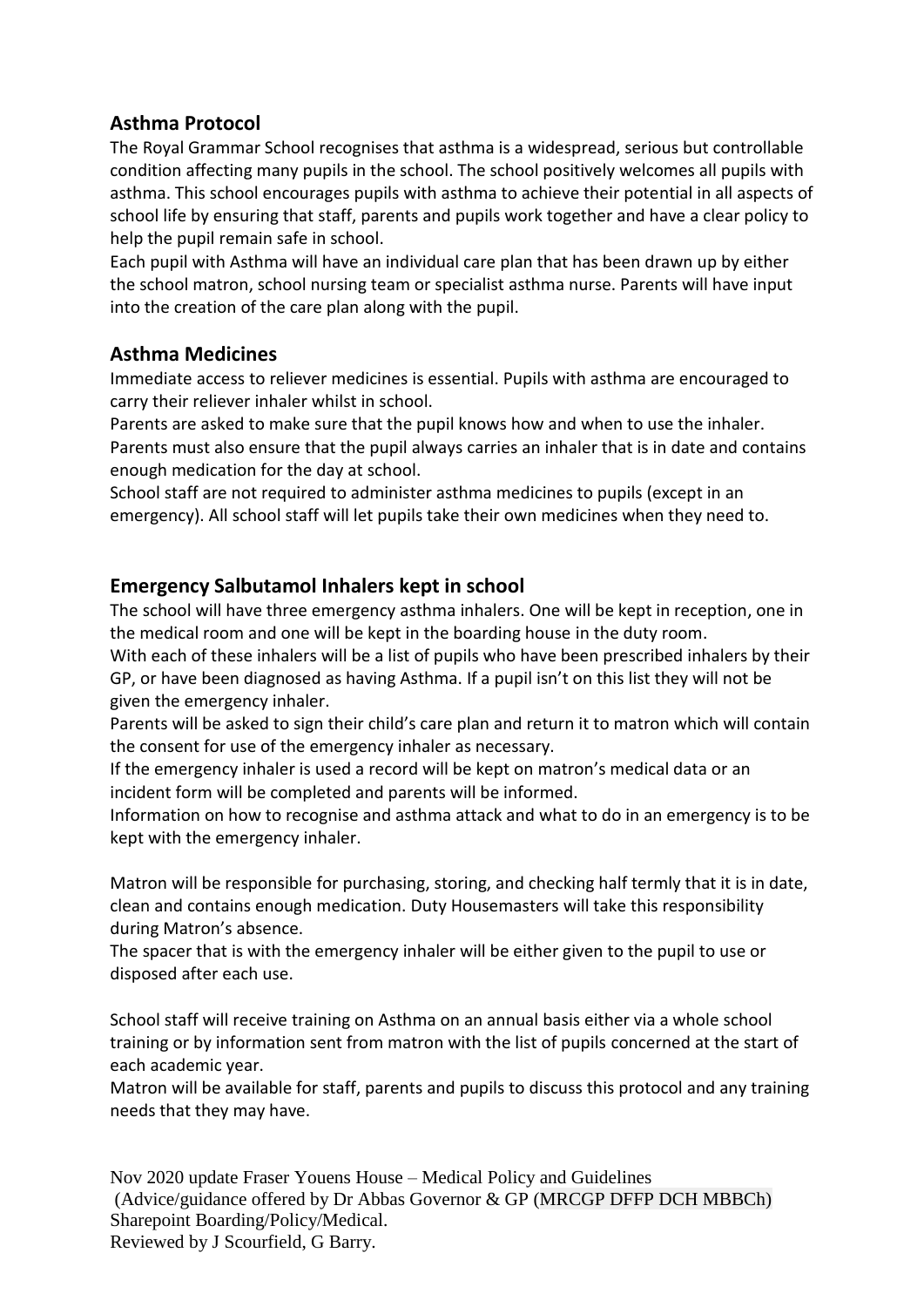#### **Asthma Protocol**

The Royal Grammar School recognises that asthma is a widespread, serious but controllable condition affecting many pupils in the school. The school positively welcomes all pupils with asthma. This school encourages pupils with asthma to achieve their potential in all aspects of school life by ensuring that staff, parents and pupils work together and have a clear policy to help the pupil remain safe in school.

Each pupil with Asthma will have an individual care plan that has been drawn up by either the school matron, school nursing team or specialist asthma nurse. Parents will have input into the creation of the care plan along with the pupil.

#### **Asthma Medicines**

Immediate access to reliever medicines is essential. Pupils with asthma are encouraged to carry their reliever inhaler whilst in school.

Parents are asked to make sure that the pupil knows how and when to use the inhaler. Parents must also ensure that the pupil always carries an inhaler that is in date and contains enough medication for the day at school.

School staff are not required to administer asthma medicines to pupils (except in an emergency). All school staff will let pupils take their own medicines when they need to.

#### **Emergency Salbutamol Inhalers kept in school**

The school will have three emergency asthma inhalers. One will be kept in reception, one in the medical room and one will be kept in the boarding house in the duty room.

With each of these inhalers will be a list of pupils who have been prescribed inhalers by their GP, or have been diagnosed as having Asthma. If a pupil isn't on this list they will not be given the emergency inhaler.

Parents will be asked to sign their child's care plan and return it to matron which will contain the consent for use of the emergency inhaler as necessary.

If the emergency inhaler is used a record will be kept on matron's medical data or an incident form will be completed and parents will be informed.

Information on how to recognise and asthma attack and what to do in an emergency is to be kept with the emergency inhaler.

Matron will be responsible for purchasing, storing, and checking half termly that it is in date, clean and contains enough medication. Duty Housemasters will take this responsibility during Matron's absence.

The spacer that is with the emergency inhaler will be either given to the pupil to use or disposed after each use.

School staff will receive training on Asthma on an annual basis either via a whole school training or by information sent from matron with the list of pupils concerned at the start of each academic year.

Matron will be available for staff, parents and pupils to discuss this protocol and any training needs that they may have.